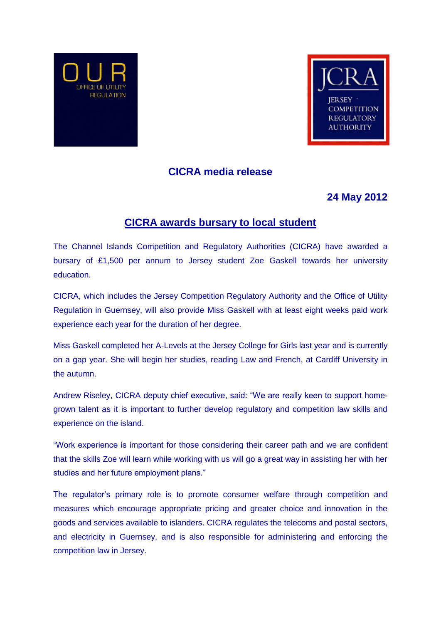



## **CICRA media release**

# **24 May 2012**

## **CICRA awards bursary to local student**

The Channel Islands Competition and Regulatory Authorities (CICRA) have awarded a bursary of £1,500 per annum to Jersey student Zoe Gaskell towards her university education.

CICRA, which includes the Jersey Competition Regulatory Authority and the Office of Utility Regulation in Guernsey, will also provide Miss Gaskell with at least eight weeks paid work experience each year for the duration of her degree.

Miss Gaskell completed her A-Levels at the Jersey College for Girls last year and is currently on a gap year. She will begin her studies, reading Law and French, at Cardiff University in the autumn.

Andrew Riseley, CICRA deputy chief executive, said: "We are really keen to support homegrown talent as it is important to further develop regulatory and competition law skills and experience on the island.

"Work experience is important for those considering their career path and we are confident that the skills Zoe will learn while working with us will go a great way in assisting her with her studies and her future employment plans."

The regulator's primary role is to promote consumer welfare through competition and measures which encourage appropriate pricing and greater choice and innovation in the goods and services available to islanders. CICRA regulates the telecoms and postal sectors, and electricity in Guernsey, and is also responsible for administering and enforcing the competition law in Jersey.